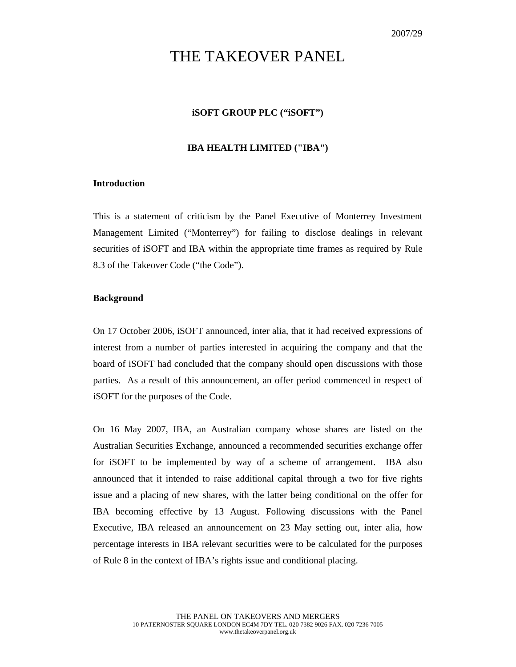# THE TAKEOVER PANEL

# **iSOFT GROUP PLC ("iSOFT")**

## **IBA HEALTH LIMITED ("IBA")**

## **Introduction**

This is a statement of criticism by the Panel Executive of Monterrey Investment Management Limited ("Monterrey") for failing to disclose dealings in relevant securities of iSOFT and IBA within the appropriate time frames as required by Rule 8.3 of the Takeover Code ("the Code").

## **Background**

On 17 October 2006, iSOFT announced, inter alia, that it had received expressions of interest from a number of parties interested in acquiring the company and that the board of iSOFT had concluded that the company should open discussions with those parties. As a result of this announcement, an offer period commenced in respect of iSOFT for the purposes of the Code.

On 16 May 2007, IBA, an Australian company whose shares are listed on the Australian Securities Exchange, announced a recommended securities exchange offer for iSOFT to be implemented by way of a scheme of arrangement. IBA also announced that it intended to raise additional capital through a two for five rights issue and a placing of new shares, with the latter being conditional on the offer for IBA becoming effective by 13 August. Following discussions with the Panel Executive, IBA released an announcement on 23 May setting out, inter alia, how percentage interests in IBA relevant securities were to be calculated for the purposes of Rule 8 in the context of IBA's rights issue and conditional placing.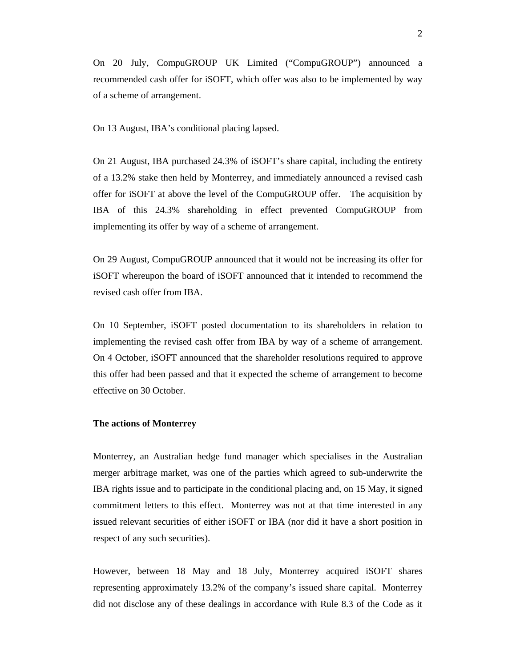On 20 July, CompuGROUP UK Limited ("CompuGROUP") announced a recommended cash offer for iSOFT, which offer was also to be implemented by way of a scheme of arrangement.

On 13 August, IBA's conditional placing lapsed.

On 21 August, IBA purchased 24.3% of iSOFT's share capital, including the entirety of a 13.2% stake then held by Monterrey, and immediately announced a revised cash offer for iSOFT at above the level of the CompuGROUP offer. The acquisition by IBA of this 24.3% shareholding in effect prevented CompuGROUP from implementing its offer by way of a scheme of arrangement.

On 29 August, CompuGROUP announced that it would not be increasing its offer for iSOFT whereupon the board of iSOFT announced that it intended to recommend the revised cash offer from IBA.

On 10 September, iSOFT posted documentation to its shareholders in relation to implementing the revised cash offer from IBA by way of a scheme of arrangement. On 4 October, iSOFT announced that the shareholder resolutions required to approve this offer had been passed and that it expected the scheme of arrangement to become effective on 30 October.

#### **The actions of Monterrey**

Monterrey, an Australian hedge fund manager which specialises in the Australian merger arbitrage market, was one of the parties which agreed to sub-underwrite the IBA rights issue and to participate in the conditional placing and, on 15 May, it signed commitment letters to this effect. Monterrey was not at that time interested in any issued relevant securities of either iSOFT or IBA (nor did it have a short position in respect of any such securities).

However, between 18 May and 18 July, Monterrey acquired iSOFT shares representing approximately 13.2% of the company's issued share capital. Monterrey did not disclose any of these dealings in accordance with Rule 8.3 of the Code as it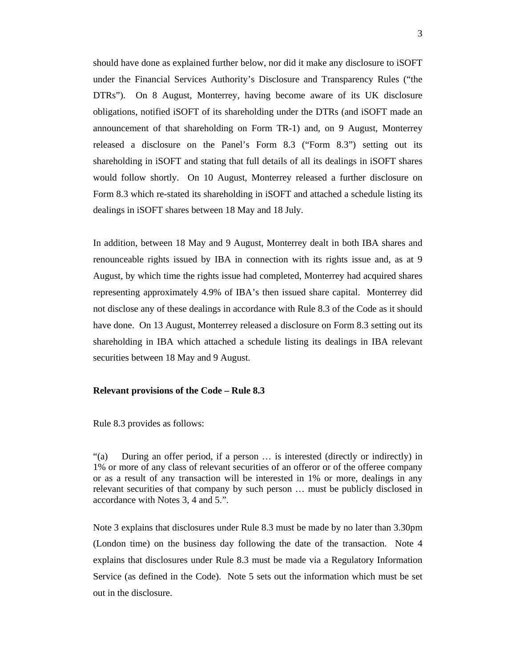should have done as explained further below, nor did it make any disclosure to iSOFT under the Financial Services Authority's Disclosure and Transparency Rules ("the DTRs"). On 8 August, Monterrey, having become aware of its UK disclosure obligations, notified iSOFT of its shareholding under the DTRs (and iSOFT made an announcement of that shareholding on Form TR-1) and, on 9 August, Monterrey released a disclosure on the Panel's Form 8.3 ("Form 8.3") setting out its shareholding in iSOFT and stating that full details of all its dealings in iSOFT shares would follow shortly. On 10 August, Monterrey released a further disclosure on Form 8.3 which re-stated its shareholding in iSOFT and attached a schedule listing its dealings in iSOFT shares between 18 May and 18 July.

In addition, between 18 May and 9 August, Monterrey dealt in both IBA shares and renounceable rights issued by IBA in connection with its rights issue and, as at 9 August, by which time the rights issue had completed, Monterrey had acquired shares representing approximately 4.9% of IBA's then issued share capital. Monterrey did not disclose any of these dealings in accordance with Rule 8.3 of the Code as it should have done. On 13 August, Monterrey released a disclosure on Form 8.3 setting out its shareholding in IBA which attached a schedule listing its dealings in IBA relevant securities between 18 May and 9 August.

#### **Relevant provisions of the Code – Rule 8.3**

Rule 8.3 provides as follows:

"(a) During an offer period, if a person … is interested (directly or indirectly) in 1% or more of any class of relevant securities of an offeror or of the offeree company or as a result of any transaction will be interested in 1% or more, dealings in any relevant securities of that company by such person … must be publicly disclosed in accordance with Notes 3, 4 and 5.".

Note 3 explains that disclosures under Rule 8.3 must be made by no later than 3.30pm (London time) on the business day following the date of the transaction. Note 4 explains that disclosures under Rule 8.3 must be made via a Regulatory Information Service (as defined in the Code). Note 5 sets out the information which must be set out in the disclosure.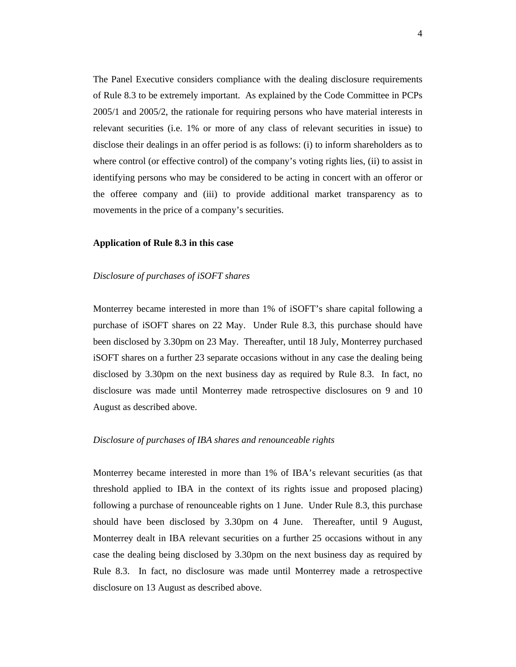The Panel Executive considers compliance with the dealing disclosure requirements of Rule 8.3 to be extremely important. As explained by the Code Committee in PCPs 2005/1 and 2005/2, the rationale for requiring persons who have material interests in relevant securities (i.e. 1% or more of any class of relevant securities in issue) to disclose their dealings in an offer period is as follows: (i) to inform shareholders as to where control (or effective control) of the company's voting rights lies, (ii) to assist in identifying persons who may be considered to be acting in concert with an offeror or the offeree company and (iii) to provide additional market transparency as to movements in the price of a company's securities.

## **Application of Rule 8.3 in this case**

## *Disclosure of purchases of iSOFT shares*

Monterrey became interested in more than 1% of iSOFT's share capital following a purchase of iSOFT shares on 22 May. Under Rule 8.3, this purchase should have been disclosed by 3.30pm on 23 May. Thereafter, until 18 July, Monterrey purchased iSOFT shares on a further 23 separate occasions without in any case the dealing being disclosed by 3.30pm on the next business day as required by Rule 8.3. In fact, no disclosure was made until Monterrey made retrospective disclosures on 9 and 10 August as described above.

### *Disclosure of purchases of IBA shares and renounceable rights*

Monterrey became interested in more than 1% of IBA's relevant securities (as that threshold applied to IBA in the context of its rights issue and proposed placing) following a purchase of renounceable rights on 1 June. Under Rule 8.3, this purchase should have been disclosed by 3.30pm on 4 June. Thereafter, until 9 August, Monterrey dealt in IBA relevant securities on a further 25 occasions without in any case the dealing being disclosed by 3.30pm on the next business day as required by Rule 8.3. In fact, no disclosure was made until Monterrey made a retrospective disclosure on 13 August as described above.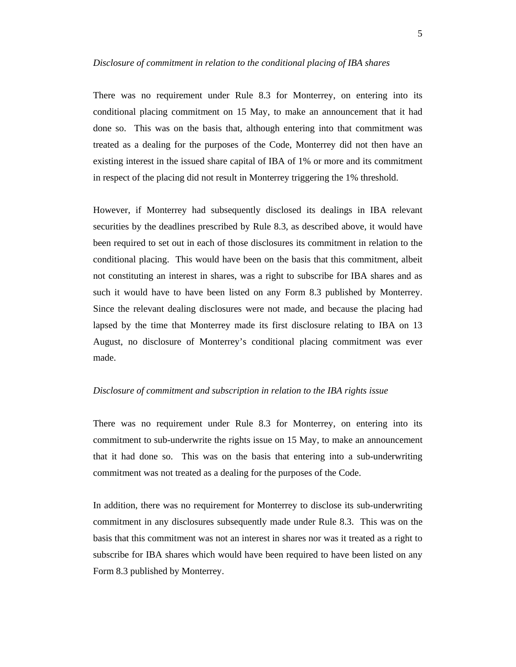#### *Disclosure of commitment in relation to the conditional placing of IBA shares*

There was no requirement under Rule 8.3 for Monterrey, on entering into its conditional placing commitment on 15 May, to make an announcement that it had done so. This was on the basis that, although entering into that commitment was treated as a dealing for the purposes of the Code, Monterrey did not then have an existing interest in the issued share capital of IBA of 1% or more and its commitment in respect of the placing did not result in Monterrey triggering the 1% threshold.

However, if Monterrey had subsequently disclosed its dealings in IBA relevant securities by the deadlines prescribed by Rule 8.3, as described above, it would have been required to set out in each of those disclosures its commitment in relation to the conditional placing. This would have been on the basis that this commitment, albeit not constituting an interest in shares, was a right to subscribe for IBA shares and as such it would have to have been listed on any Form 8.3 published by Monterrey. Since the relevant dealing disclosures were not made, and because the placing had lapsed by the time that Monterrey made its first disclosure relating to IBA on 13 August, no disclosure of Monterrey's conditional placing commitment was ever made.

#### *Disclosure of commitment and subscription in relation to the IBA rights issue*

There was no requirement under Rule 8.3 for Monterrey, on entering into its commitment to sub-underwrite the rights issue on 15 May, to make an announcement that it had done so. This was on the basis that entering into a sub-underwriting commitment was not treated as a dealing for the purposes of the Code.

In addition, there was no requirement for Monterrey to disclose its sub-underwriting commitment in any disclosures subsequently made under Rule 8.3. This was on the basis that this commitment was not an interest in shares nor was it treated as a right to subscribe for IBA shares which would have been required to have been listed on any Form 8.3 published by Monterrey.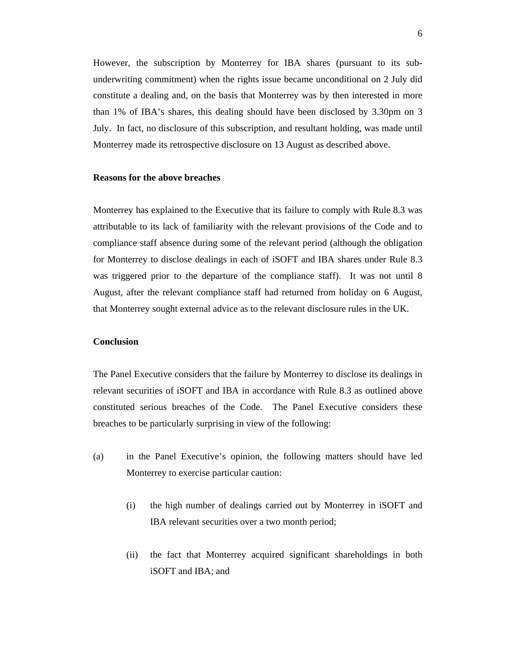However, the subscription by Monterrey for IBA shares (pursuant to its subunderwriting commitment) when the rights issue became unconditional on 2 July did constitute a dealing and, on the basis that Monterrey was by then interested in more than 1% of IBA's shares, this dealing should have been disclosed by 3.30pm on 3 July. In fact, no disclosure of this subscription, and resultant holding, was made until Monterrey made its retrospective disclosure on 13 August as described above.

#### **Reasons for the above breaches**

Monterrey has explained to the Executive that its failure to comply with Rule 8.3 was attributable to its lack of familiarity with the relevant provisions of the Code and to compliance staff absence during some of the relevant period (although the obligation for Monterrey to disclose dealings in each of iSOFT and IBA shares under Rule 8.3 was triggered prior to the departure of the compliance staff). It was not until 8 August, after the relevant compliance staff had returned from holiday on 6 August, that Monterrey sought external advice as to the relevant disclosure rules in the UK.

#### **Conclusion**

The Panel Executive considers that the failure by Monterrey to disclose its dealings in relevant securities of iSOFT and IBA in accordance with Rule 8.3 as outlined above constituted serious breaches of the Code. The Panel Executive considers these breaches to be particularly surprising in view of the following:

- (a) in the Panel Executive's opinion, the following matters should have led Monterrey to exercise particular caution:
	- (i) the high number of dealings carried out by Monterrey in iSOFT and IBA relevant securities over a two month period;
	- (ii) the fact that Monterrey acquired significant shareholdings in both iSOFT and IBA; and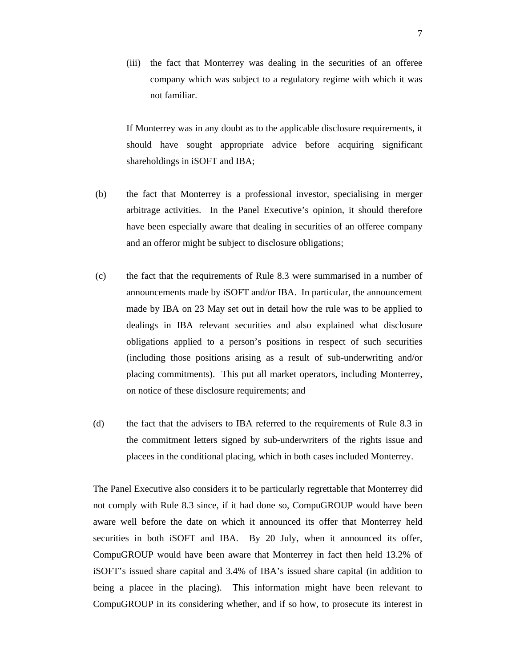(iii) the fact that Monterrey was dealing in the securities of an offeree company which was subject to a regulatory regime with which it was not familiar.

If Monterrey was in any doubt as to the applicable disclosure requirements, it should have sought appropriate advice before acquiring significant shareholdings in iSOFT and IBA;

- (b) the fact that Monterrey is a professional investor, specialising in merger arbitrage activities. In the Panel Executive's opinion, it should therefore have been especially aware that dealing in securities of an offeree company and an offeror might be subject to disclosure obligations;
- (c) the fact that the requirements of Rule 8.3 were summarised in a number of announcements made by iSOFT and/or IBA. In particular, the announcement made by IBA on 23 May set out in detail how the rule was to be applied to dealings in IBA relevant securities and also explained what disclosure obligations applied to a person's positions in respect of such securities (including those positions arising as a result of sub-underwriting and/or placing commitments). This put all market operators, including Monterrey, on notice of these disclosure requirements; and
- (d) the fact that the advisers to IBA referred to the requirements of Rule 8.3 in the commitment letters signed by sub-underwriters of the rights issue and placees in the conditional placing, which in both cases included Monterrey.

The Panel Executive also considers it to be particularly regrettable that Monterrey did not comply with Rule 8.3 since, if it had done so, CompuGROUP would have been aware well before the date on which it announced its offer that Monterrey held securities in both iSOFT and IBA. By 20 July, when it announced its offer, CompuGROUP would have been aware that Monterrey in fact then held 13.2% of iSOFT's issued share capital and 3.4% of IBA's issued share capital (in addition to being a placee in the placing). This information might have been relevant to CompuGROUP in its considering whether, and if so how, to prosecute its interest in